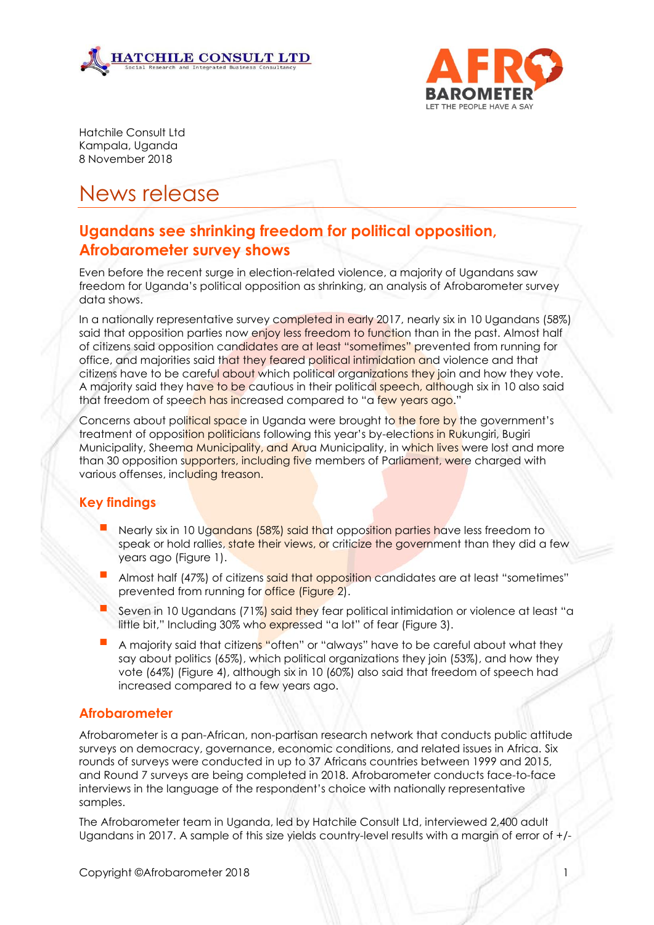



Hatchile Consult Ltd Kampala, Uganda 8 November 2018

# News release

# **Ugandans see shrinking freedom for political opposition, Afrobarometer survey shows**

Even before the recent surge in election-related violence, a majority of Ugandans saw freedom for Uganda's political opposition as shrinking, an analysis of Afrobarometer survey data shows.

In a nationally representative survey completed in early 2017, nearly six in 10 Ugandans (58%) said that opposition parties now enjoy less freedom to function than in the past. Almost half of citizens said opposition candidates are at least "sometimes" prevented from running for office, and majorities said that they feared political intimidation and violence and that citizens have to be careful about which political organizations they join and how they vote. A majority said they have to be cautious in their political speech, although six in 10 also said that freedom of speech has increased compared to "a few years ago."

Concerns about political space in Uganda were brought to the fore by the government's treatment of opposition politicians following this year's by-elections in Rukungiri, Bugiri Municipality, Sheema Municipality, and Arua Municipality, in which lives were lost and more than 30 opposition supporters, including five members of Parliament, were charged with various offenses, including treason.

## **Key findings**

- Nearly six in 10 Ugandans (58%) said that opposition parties have less freedom to speak or hold rallies, state their views, or criticize the government than they did a few years ago (Figure 1).
- Almost half (47%) of citizens said that opposition candidates are at least "sometimes" prevented from running for office (Figure 2).
- Seven in 10 Ugandans (71%) said they fear political intimidation or violence at least "a little bit," Including 30% who expressed "a lot" of fear (Figure 3).
- A majority said that citizens "often" or "always" have to be careful about what they say about politics (65%), which political organizations they join (53%), and how they vote (64%) (Figure 4), although six in 10 (60%) also said that freedom of speech had increased compared to a few years ago.

## **Afrobarometer**

Afrobarometer is a pan-African, non-partisan research network that conducts public attitude surveys on democracy, governance, economic conditions, and related issues in Africa. Six rounds of surveys were conducted in up to 37 Africans countries between 1999 and 2015, and Round 7 surveys are being completed in 2018. Afrobarometer conducts face-to-face interviews in the language of the respondent's choice with nationally representative samples.

The Afrobarometer team in Uganda, led by Hatchile Consult Ltd, interviewed 2,400 adult Ugandans in 2017. A sample of this size yields country-level results with a margin of error of +/-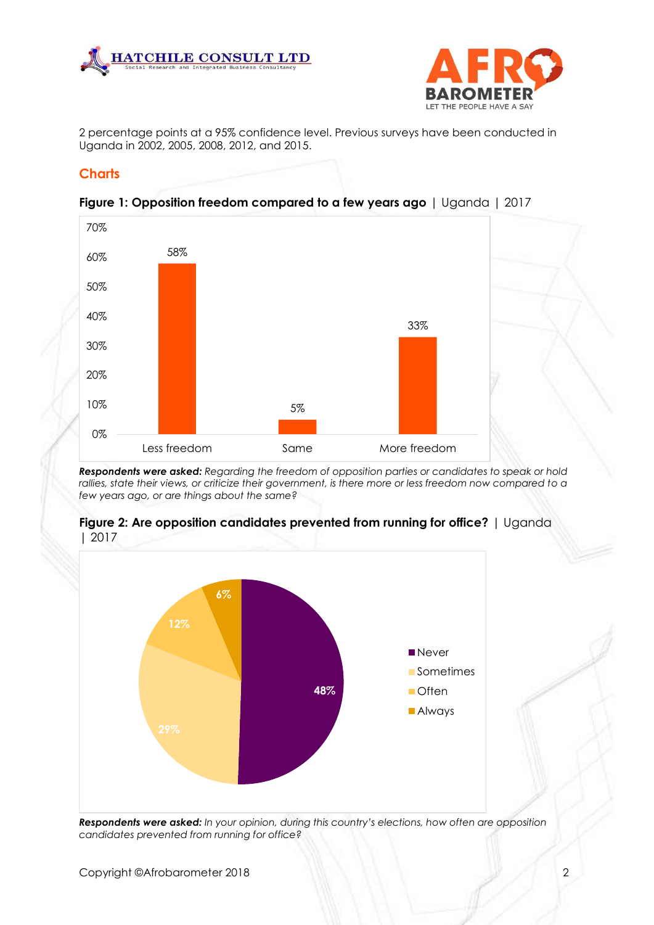



2 percentage points at a 95% confidence level. Previous surveys have been conducted in Uganda in 2002, 2005, 2008, 2012, and 2015.

#### **Charts**



**Figure 1: Opposition freedom compared to a few years ago** | Uganda | 2017

*Respondents were asked: Regarding the freedom of opposition parties or candidates to speak or hold*  rallies, state their views, or criticize their government, is there more or less freedom now compared to a *few years ago, or are things about the same?*



**Figure 2: Are opposition candidates prevented from running for office?** | Uganda | 2017

*Respondents were asked: In your opinion, during this country's elections, how often are opposition candidates prevented from running for office?*